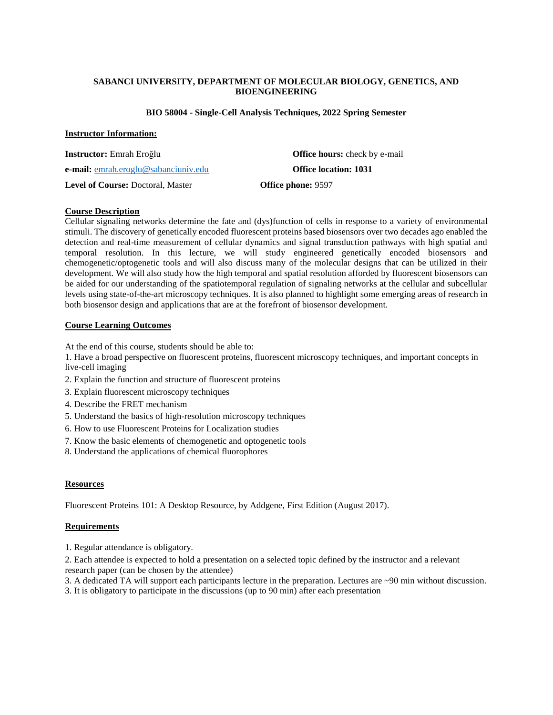## **SABANCI UNIVERSITY, DEPARTMENT OF MOLECULAR BIOLOGY, GENETICS, AND BIOENGINEERING**

#### **BIO 58004 - Single-Cell Analysis Techniques, 2022 Spring Semester**

### **Instructor Information:**

| <b>Instructor:</b> Emrah Eroğlu             | <b>Office hours:</b> check by e-mail |
|---------------------------------------------|--------------------------------------|
| <b>e-mail:</b> emrah.eroglu@sabanciuniv.edu | <b>Office location: 1031</b>         |
| <b>Level of Course: Doctoral, Master</b>    | <b>Office phone: 9597</b>            |

### **Course Description**

Cellular signaling networks determine the fate and (dys)function of cells in response to a variety of environmental stimuli. The discovery of genetically encoded fluorescent proteins based biosensors over two decades ago enabled the detection and real-time measurement of cellular dynamics and signal transduction pathways with high spatial and temporal resolution. In this lecture, we will study engineered genetically encoded biosensors and chemogenetic/optogenetic tools and will also discuss many of the molecular designs that can be utilized in their development. We will also study how the high temporal and spatial resolution afforded by fluorescent biosensors can be aided for our understanding of the spatiotemporal regulation of signaling networks at the cellular and subcellular levels using state-of-the-art microscopy techniques. It is also planned to highlight some emerging areas of research in both biosensor design and applications that are at the forefront of biosensor development.

### **Course Learning Outcomes**

At the end of this course, students should be able to:

1. Have a broad perspective on fluorescent proteins, fluorescent microscopy techniques, and important concepts in live-cell imaging

- 2. Explain the function and structure of fluorescent proteins
- 3. Explain fluorescent microscopy techniques
- 4. Describe the FRET mechanism
- 5. Understand the basics of high-resolution microscopy techniques
- 6. How to use Fluorescent Proteins for Localization studies
- 7. Know the basic elements of chemogenetic and optogenetic tools
- 8. Understand the applications of chemical fluorophores

### **Resources**

Fluorescent Proteins 101: A Desktop Resource, by Addgene, First Edition (August 2017).

### **Requirements**

1. Regular attendance is obligatory.

2. Each attendee is expected to hold a presentation on a selected topic defined by the instructor and a relevant research paper (can be chosen by the attendee)

- 3. A dedicated TA will support each participants lecture in the preparation. Lectures are ~90 min without discussion.
- 3. It is obligatory to participate in the discussions (up to 90 min) after each presentation